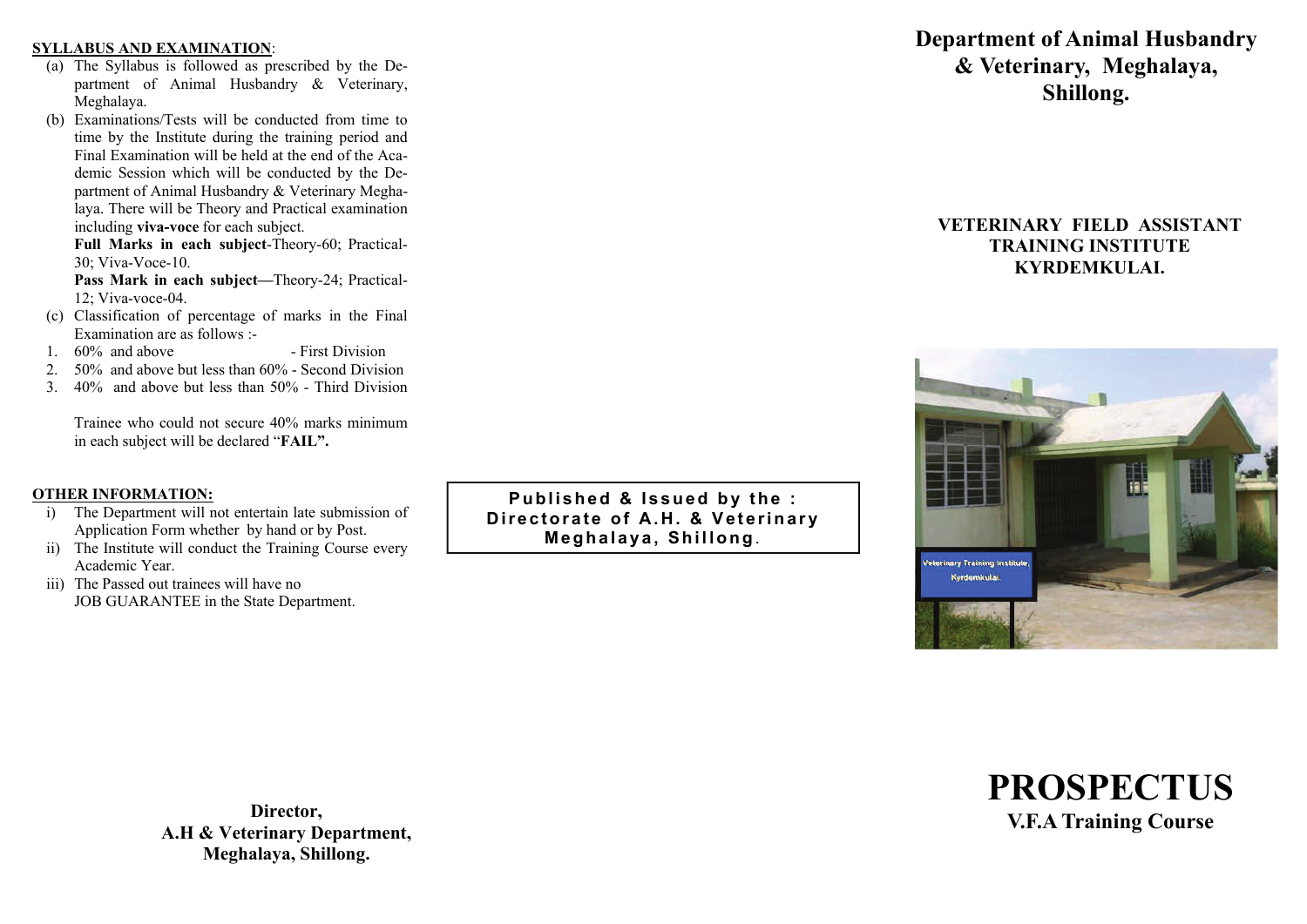#### **SYLLABUS AND EXAMINATION**:

- (a) The Syllabus is followed as prescribed by the Department of Animal Husbandry & Veterinary, Meghalaya.
- (b) Examinations/Tests will be conducted from time to time by the Institute during the training period and Final Examination will be held at the end of the Academic Session which will be conducted by the Department of Animal Husbandry & Veterinary Meghalaya. There will be Theory and Practical examination including **viva-voce** for each subject.

**Full Marks in each subject**-Theory-60; Practical-30; Viva-Voce-10.

Pass Mark in each subject-Theory-24; Practical-12; Viva-voce-04.

- (c) Classification of percentage of marks in the Final Examination are as follows :-
- 1. 60% and above First Division
- 2. 50% and above but less than 60% Second Division
- 3. 40% and above but less than 50% Third Division

Trainee who could not secure 40% marks minimum in each subject will be declared "**FAIL".** 

## **OTHER INFORMATION:**

- i) The Department will not entertain late submission of Application Form whether by hand or by Post.
- ii) The Institute will conduct the Training Course every Academic Year.
- iii) The Passed out trainees will have no JOB GUARANTEE in the State Department.

**Published & Issued by the : Directorate of A.H. & Veterinary Meghalaya, Shillong**.

# **Department of Animal Husbandry & Veterinary, Meghalaya, Shillong.**

# **VETERINARY FIELD ASSISTANT TRAINING INSTITUTE KYRDEMKULAI.**





**Director, A.H & Veterinary Department, Meghalaya, Shillong.**